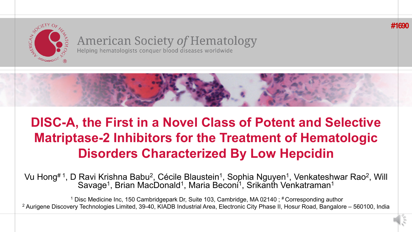

#### **American Society of Hematology** Helping hematologists conquer blood diseases worldwide



**#1690**

# **DISC-A, the First in a Novel Class of Potent and Selective Matriptase-2 Inhibitors for the Treatment of Hematologic Disorders Characterized By Low Hepcidin**

Vu Hong#1, D Ravi Krishna Babu<sup>2</sup>, Cécile Blaustein<sup>1</sup>, Sophia Nguyen<sup>1</sup>, Venkateshwar Rao<sup>2</sup>, Will Savage<sup>1</sup>, Brian MacDonald<sup>1</sup>, Maria Beconi<sup>1</sup>, Srikanth Venkatraman<sup>1</sup>

<sup>1</sup> Disc Medicine Inc, 150 Cambridgepark Dr, Suite 103, Cambridge, MA 02140; # Corresponding author <sup>2</sup> Aurigene Discovery Technologies Limited, 39-40, KIADB Industrial Area, Electronic City Phase II, Hosur Road, Bangalore – 560100, India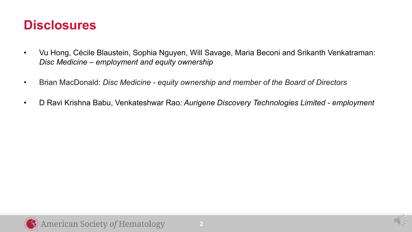#### **Disclosures**

- Vu Hong, Cécile Blaustein, Sophia Nguyen, Will Savage, Maria Beconi and Srikanth Venkatraman: *Disc Medicine – employment and equity ownership*
- Brian MacDonald: *Disc Medicine - equity ownership and member of the Board of Directors*
- D Ravi Krishna Babu, Venkateshwar Rao*: Aurigene Discovery Technologies Limited - employment*

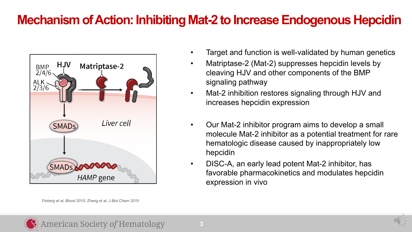#### **Mechanism of Action: Inhibiting Mat-2 to Increase Endogenous Hepcidin**



*Finberg et al, Blood 2010; Zhang et al, J Biol Chem 2010* 

- Target and function is well-validated by human genetics
- Matriptase-2 (Mat-2) suppresses hepcidin levels by cleaving HJV and other components of the BMP signaling pathway
- Mat-2 inhibition restores signaling through HJV and increases hepcidin expression
- Our Mat-2 inhibitor program aims to develop a small molecule Mat-2 inhibitor as a potential treatment for rare hematologic disease caused by inappropriately low hepcidin
- DISC-A, an early lead potent Mat-2 inhibitor, has favorable pharmacokinetics and modulates hepcidin expression in vivo

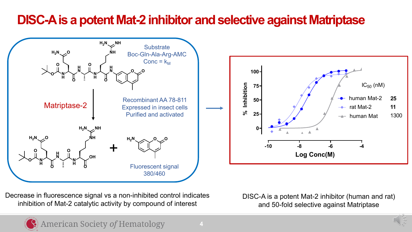### **DISC-A is a potent Mat-2 inhibitor and selective against Matriptase**



**100**  $IC_{50}$  (nM) % Inhibition  **% Inhibition 75**  $\rightarrow$  human Mat-2 **25 50**  $\rightarrow$  rat Mat-2 **11 25** 1300  $\rightarrow$  human Mat **0 -10 -8 -6 -4 Log Conc(M)**

Decrease in fluorescence signal vs a non-inhibited control indicates inhibition of Mat-2 catalytic activity by compound of interest

DISC-A is a potent Mat-2 inhibitor (human and rat) and 50-fold selective against Matriptase

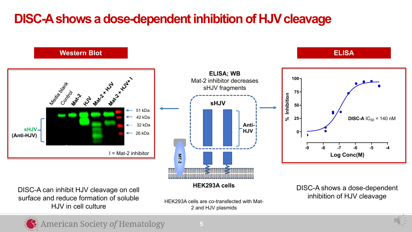## **DISC-A shows a dose-dependent inhibition of HJV cleavage**



DISC-A can inhibit HJV cleavage on cell surface and reduce formation of soluble HJV in cell culture

HEK293A cells are co-transfected with Mat-2 and HJV plasmids

DISC-A shows a dose-dependent inhibition of HJV cleavage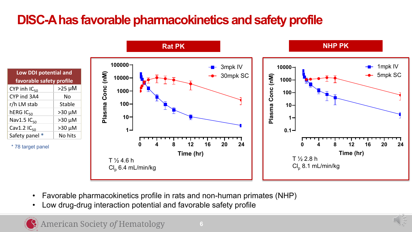# **DISC-A has favorable pharmacokinetics and safety profile**





- Favorable pharmacokinetics profile in rats and non-human primates (NHP)
- Low drug-drug interaction potential and favorable safety profile

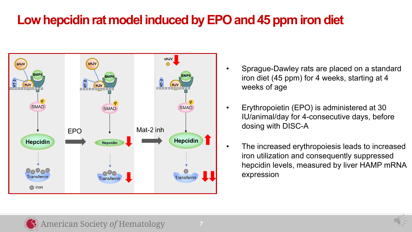## **Low hepcidin rat model induced by EPO and 45 ppm iron diet**



- Sprague-Dawley rats are placed on a standard iron diet (45 ppm) for 4 weeks, starting at 4 weeks of age
- Erythropoietin (EPO) is administered at 30 IU/animal/day for 4-consecutive days, before dosing with DISC-A
- The increased erythropoiesis leads to increased iron utilization and consequently suppressed hepcidin levels, measured by liver HAMP mRNA expression

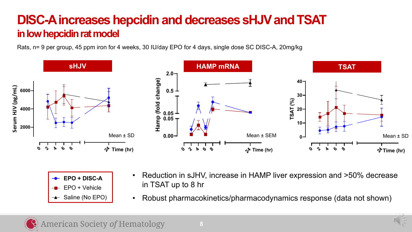#### **DISC-A increases hepcidin and decreases sHJVand TSAT in low hepcidin rat model**

Rats, n= 9 per group, 45 ppm iron for 4 weeks, 30 IU/day EPO for 4 days, single dose SC DISC-A, 20mg/kg



| $\rightarrow$ EPO + DISC-A |
|----------------------------|
| $-$ EPO + Vehicle          |
| → Saline (No EPO)          |

- Reduction in sJHV, increase in HAMP liver expression and  $>50\%$  decrease in TSAT up to 8 hr
- Robust pharmacokinetics/pharmacodynamics response (data not shown)